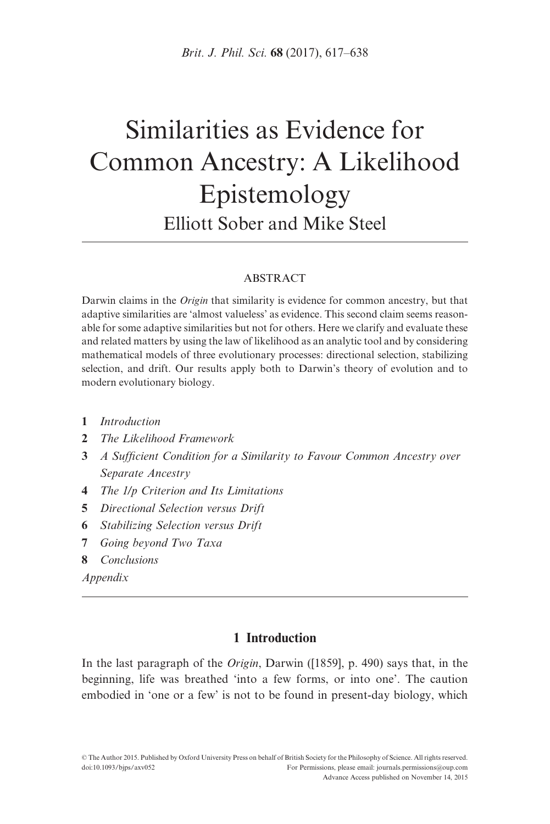Brit. J. Phil. Sci. 68 (2017), 617–638

# Similarities as Evidence for Common Ancestry: A Likelihood Epistemology Elliott Sober and Mike Steel

## ABSTRACT

Darwin claims in the *Origin* that similarity is evidence for common ancestry, but that adaptive similarities are 'almost valueless' as evidence. This second claim seems reasonable for some adaptive similarities but not for others. Here we clarify and evaluate these and related matters by using the law of likelihood as an analytic tool and by considering mathematical models of three evolutionary processes: directional selection, stabilizing selection, and drift. Our results apply both to Darwin's theory of evolution and to modern evolutionary biology.

- 1 Introduction
- 2 The Likelihood Framework
- 3 A Sufficient Condition for a Similarity to Favour Common Ancestry over Separate Ancestry
- 4 The 1/p Criterion and Its Limitations
- 5 Directional Selection versus Drift
- 6 Stabilizing Selection versus Drift
- 7 Going beyond Two Taxa
- 8 Conclusions

Appendix

## 1 Introduction

In the last paragraph of the *Origin*, Darwin ([\[1859\],](#page-20-0) p. 490) says that, in the beginning, life was breathed 'into a few forms, or into one'. The caution embodied in 'one or a few' is not to be found in present-day biology, which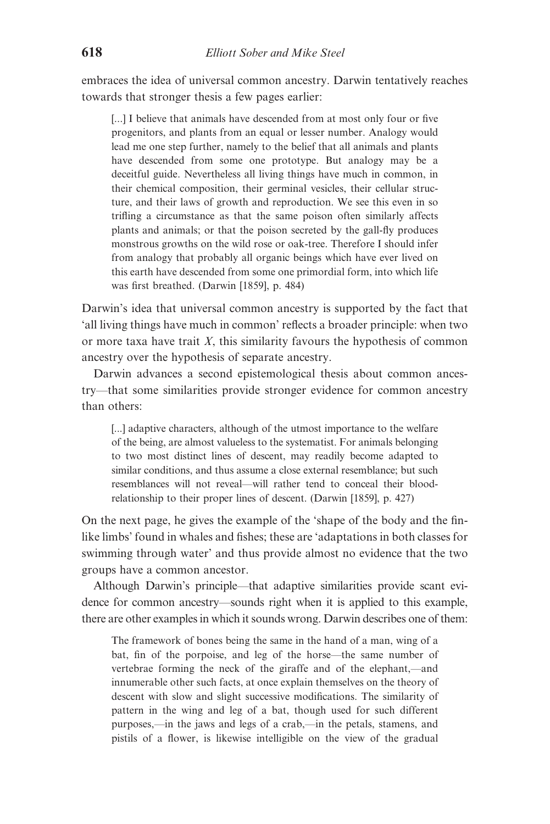embraces the idea of universal common ancestry. Darwin tentatively reaches towards that stronger thesis a few pages earlier:

[...] I believe that animals have descended from at most only four or five progenitors, and plants from an equal or lesser number. Analogy would lead me one step further, namely to the belief that all animals and plants have descended from some one prototype. But analogy may be a deceitful guide. Nevertheless all living things have much in common, in their chemical composition, their germinal vesicles, their cellular structure, and their laws of growth and reproduction. We see this even in so trifling a circumstance as that the same poison often similarly affects plants and animals; or that the poison secreted by the gall-fly produces monstrous growths on the wild rose or oak-tree. Therefore I should infer from analogy that probably all organic beings which have ever lived on this earth have descended from some one primordial form, into which life was first breathed. ([Darwin \[1859\],](#page-20-0) p. 484)

Darwin's idea that universal common ancestry is supported by the fact that 'all living things have much in common' reflects a broader principle: when two or more taxa have trait  $X$ , this similarity favours the hypothesis of common ancestry over the hypothesis of separate ancestry.

Darwin advances a second epistemological thesis about common ancestry—that some similarities provide stronger evidence for common ancestry than others:

[...] adaptive characters, although of the utmost importance to the welfare of the being, are almost valueless to the systematist. For animals belonging to two most distinct lines of descent, may readily become adapted to similar conditions, and thus assume a close external resemblance; but such resemblances will not reveal—will rather tend to conceal their bloodrelationship to their proper lines of descent. ([Darwin \[1859\]](#page-20-0), p. 427)

On the next page, he gives the example of the 'shape of the body and the finlike limbs' found in whales and fishes; these are 'adaptations in both classes for swimming through water' and thus provide almost no evidence that the two groups have a common ancestor.

Although Darwin's principle—that adaptive similarities provide scant evidence for common ancestry—sounds right when it is applied to this example, there are other examples in which it sounds wrong. Darwin describes one of them:

The framework of bones being the same in the hand of a man, wing of a bat, fin of the porpoise, and leg of the horse—the same number of vertebrae forming the neck of the giraffe and of the elephant,—and innumerable other such facts, at once explain themselves on the theory of descent with slow and slight successive modifications. The similarity of pattern in the wing and leg of a bat, though used for such different purposes,—in the jaws and legs of a crab,—in the petals, stamens, and pistils of a flower, is likewise intelligible on the view of the gradual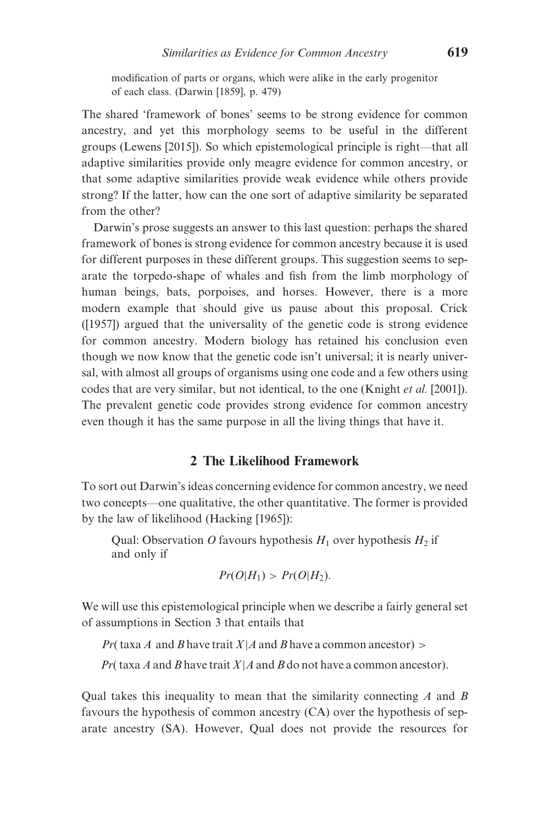modification of parts or organs, which were alike in the early progenitor of each class. ([Darwin \[1859\],](#page-20-0) p. 479)

The shared 'framework of bones' seems to be strong evidence for common ancestry, and yet this morphology seems to be useful in the different groups ([Lewens \[2015\]\)](#page-21-0). So which epistemological principle is right—that all adaptive similarities provide only meagre evidence for common ancestry, or that some adaptive similarities provide weak evidence while others provide strong? If the latter, how can the one sort of adaptive similarity be separated from the other?

Darwin's prose suggests an answer to this last question: perhaps the shared framework of bones is strong evidence for common ancestry because it is used for different purposes in these different groups. This suggestion seems to separate the torpedo-shape of whales and fish from the limb morphology of human beings, bats, porpoises, and horses. However, there is a more modern example that should give us pause about this proposal. Crick ([\[1957\]\)](#page-20-0) argued that the universality of the genetic code is strong evidence for common ancestry. Modern biology has retained his conclusion even though we now know that the genetic code isn't universal; it is nearly universal, with almost all groups of organisms using one code and a few others using codes that are very similar, but not identical, to the one ([Knight](#page-21-0) et al. [2001]). The prevalent genetic code provides strong evidence for common ancestry even though it has the same purpose in all the living things that have it.

## 2 The Likelihood Framework

To sort out Darwin's ideas concerning evidence for common ancestry, we need two concepts—one qualitative, the other quantitative. The former is provided by the law of likelihood ([Hacking \[1965\]\)](#page-21-0):

Qual: Observation O favours hypothesis  $H_1$  over hypothesis  $H_2$  if and only if

$$
Pr(O|H_1) > Pr(O|H_2).
$$

We will use this epistemological principle when we describe a fairly general set of assumptions in Section 3 that entails that

Pr(taxa A and B have trait  $X|A$  and B have a common ancestor) >

Pr(taxa A and B have trait  $X|A$  and B do not have a common ancestor).

Qual takes this inequality to mean that the similarity connecting  $A$  and  $B$ favours the hypothesis of common ancestry (CA) over the hypothesis of separate ancestry (SA). However, Qual does not provide the resources for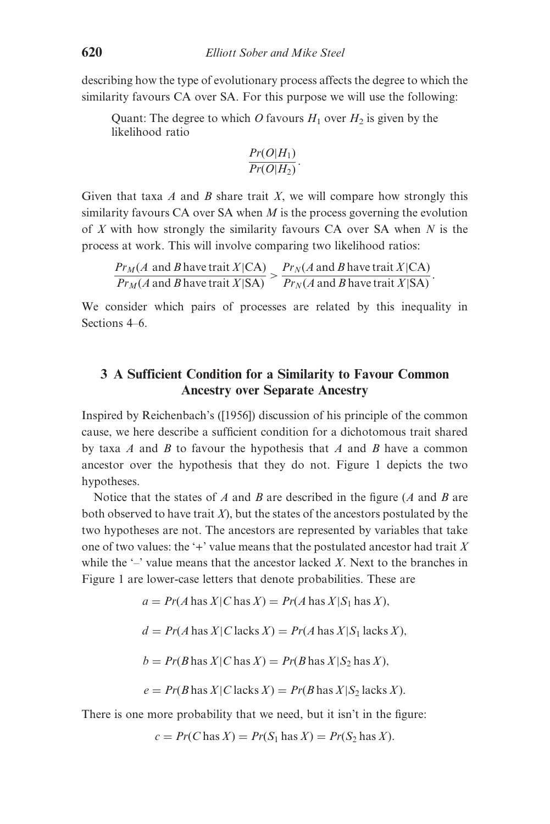describing how the type of evolutionary process affects the degree to which the similarity favours CA over SA. For this purpose we will use the following:

Quant: The degree to which O favours  $H_1$  over  $H_2$  is given by the likelihood ratio

$$
\frac{Pr(O|H_1)}{Pr(O|H_2)}.
$$

Given that taxa  $A$  and  $B$  share trait  $X$ , we will compare how strongly this similarity favours CA over SA when  $M$  is the process governing the evolution of  $X$  with how strongly the similarity favours CA over SA when  $N$  is the process at work. This will involve comparing two likelihood ratios:

 $\frac{Pr_M(A \text{ and } B \text{ have trait } X|CA)}{Pr_M(A \text{ and } B \text{ have trait } X|SA)} > \frac{Pr_N(A \text{ and } B \text{ have trait } X|CA)}{Pr_N(A \text{ and } B \text{ have trait } X|SA)}.$ 

We consider which pairs of processes are related by this inequality in Sections 4–6.

# 3 A Sufficient Condition for a Similarity to Favour Common Ancestry over Separate Ancestry

Inspired by Reichenbach's [\(\[1956\]](#page-21-0)) discussion of his principle of the common cause, we here describe a sufficient condition for a dichotomous trait shared by taxa  $A$  and  $B$  to favour the hypothesis that  $A$  and  $B$  have a common ancestor over the hypothesis that they do not. [Figure 1](#page-4-0) depicts the two hypotheses.

Notice that the states of  $A$  and  $B$  are described in the figure ( $A$  and  $B$  are both observed to have trait  $X$ ), but the states of the ancestors postulated by the two hypotheses are not. The ancestors are represented by variables that take one of two values: the '+' value means that the postulated ancestor had trait  $X$ while the  $-$ ' value means that the ancestor lacked X. Next to the branches in [Figure 1](#page-4-0) are lower-case letters that denote probabilities. These are

$$
a = Pr(A \operatorname{has} X | C \operatorname{has} X) = Pr(A \operatorname{has} X | S_1 \operatorname{has} X),
$$

 $d = Pr(A \text{ has } X \mid C \text{ lacks } X) = Pr(A \text{ has } X \mid S_1 \text{ lacks } X),$ 

 $b = Pr(B \text{ has } X \mid C \text{ has } X) = Pr(B \text{ has } X \mid S_2 \text{ has } X),$ 

$$
e = Pr(B \text{ has } X \mid C \text{ lacks } X) = Pr(B \text{ has } X \mid S_2 \text{ lacks } X).
$$

There is one more probability that we need, but it isn't in the figure:

 $c = Pr(C \text{ has } X) = Pr(S_1 \text{ has } X) = Pr(S_2 \text{ has } X).$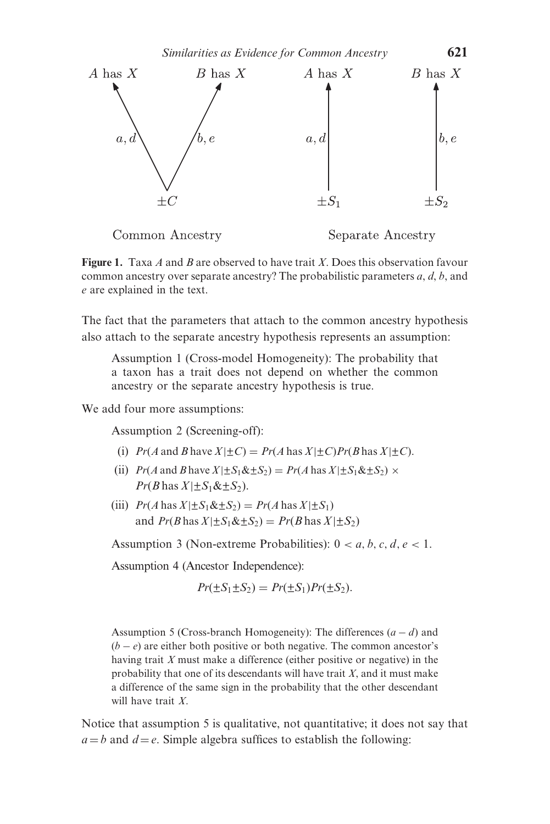<span id="page-4-0"></span>

Common Ancestry

Separate Ancestry

Figure 1. Taxa A and B are observed to have trait X. Does this observation favour common ancestry over separate ancestry? The probabilistic parameters  $a, d, b$ , and e are explained in the text.

The fact that the parameters that attach to the common ancestry hypothesis also attach to the separate ancestry hypothesis represents an assumption:

Assumption 1 (Cross-model Homogeneity): The probability that a taxon has a trait does not depend on whether the common ancestry or the separate ancestry hypothesis is true.

We add four more assumptions:

Assumption 2 (Screening-off):

- (i)  $Pr(A \text{ and } B \text{ have } X | \pm C) = Pr(A \text{ has } X | \pm C) Pr(B \text{ has } X | \pm C)$ .
- (ii)  $Pr(A \text{ and } B \text{ have } X | \pm S_1 \& \pm S_2) = Pr(A \text{ has } X | \pm S_1 \& \pm S_2) \times$  $Pr(B \text{ has } X | \pm S_1 \& \pm S_2).$
- (iii)  $Pr(A \text{ has } X | \pm S_1 \& \pm S_2) = Pr(A \text{ has } X | \pm S_1)$ and  $Pr(B \text{ has } X | \pm S_1 \& \pm S_2) = Pr(B \text{ has } X | \pm S_2)$

Assumption 3 (Non-extreme Probabilities):  $0 < a, b, c, d, e < 1$ .

Assumption 4 (Ancestor Independence):

$$
Pr(\pm S_1 \pm S_2) = Pr(\pm S_1)Pr(\pm S_2).
$$

Assumption 5 (Cross-branch Homogeneity): The differences  $(a-d)$  and  $(b - e)$  are either both positive or both negative. The common ancestor's having trait  $X$  must make a difference (either positive or negative) in the probability that one of its descendants will have trait  $X$ , and it must make a difference of the same sign in the probability that the other descendant will have trait X.

Notice that assumption 5 is qualitative, not quantitative; it does not say that  $a = b$  and  $d = e$ . Simple algebra suffices to establish the following: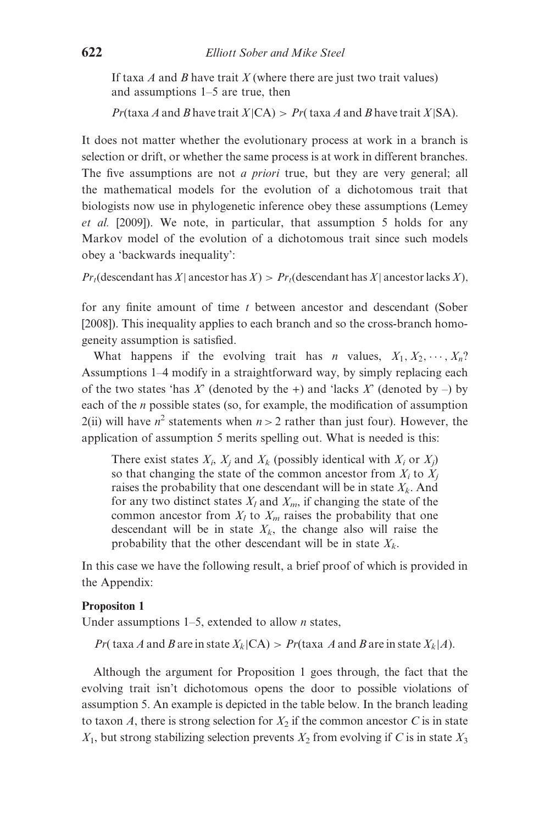If taxa  $A$  and  $B$  have trait  $X$  (where there are just two trait values) and assumptions 1–5 are true, then

 $Pr(\text{taxa } A \text{ and } B \text{ have trait } X | CA) > Pr(\text{taxa } A \text{ and } B \text{ have trait } X | SA)$ .

It does not matter whether the evolutionary process at work in a branch is selection or drift, or whether the same process is at work in different branches. The five assumptions are not *a priori* true, but they are very general; all the mathematical models for the evolution of a dichotomous trait that biologists now use in phylogenetic inference obey these assumptions [\(Lemey](#page-21-0) et al. [\[2009\]\)](#page-21-0). We note, in particular, that assumption 5 holds for any Markov model of the evolution of a dichotomous trait since such models obey a 'backwards inequality':

 $Pr_t$ (descendant has X) ancestor has  $X > Pr_t$ (descendant has X) ancestor lacks X),

for any finite amount of time  $t$  between ancestor and descendant [\(Sober](#page-21-0) [\[2008\]\)](#page-21-0). This inequality applies to each branch and so the cross-branch homogeneity assumption is satisfied.

What happens if the evolving trait has *n* values,  $X_1, X_2, \dots, X_n$ ? Assumptions 1–4 modify in a straightforward way, by simply replacing each of the two states 'has X' (denoted by the +) and 'lacks X' (denoted by -) by each of the  $n$  possible states (so, for example, the modification of assumption 2(ii) will have  $n^2$  statements when  $n > 2$  rather than just four). However, the application of assumption 5 merits spelling out. What is needed is this:

There exist states  $X_i$ ,  $X_i$  and  $X_k$  (possibly identical with  $X_i$  or  $X_i$ ) so that changing the state of the common ancestor from  $X_i$  to  $X_j$ raises the probability that one descendant will be in state  $X_k$ . And for any two distinct states  $X_l$  and  $X_m$ , if changing the state of the common ancestor from  $X_l$  to  $X_m$  raises the probability that one descendant will be in state  $X_k$ , the change also will raise the probability that the other descendant will be in state  $X_k$ .

In this case we have the following result, a brief proof of which is provided in the Appendix:

#### Propositon 1

Under assumptions  $1-5$ , extended to allow *n* states,

Pr(taxa A and B are in state  $X_k|CA) > Pr(\text{taxa } A \text{ and } B \text{ are in state } X_k|A)$ .

Although the argument for Proposition 1 goes through, the fact that the evolving trait isn't dichotomous opens the door to possible violations of assumption 5. An example is depicted in the table below. In the branch leading to taxon A, there is strong selection for  $X_2$  if the common ancestor C is in state  $X_1$ , but strong stabilizing selection prevents  $X_2$  from evolving if C is in state  $X_3$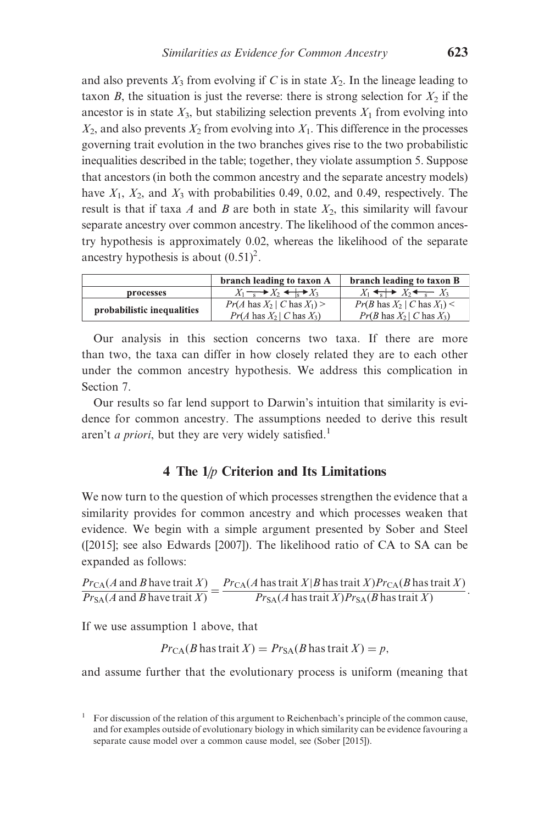and also prevents  $X_3$  from evolving if C is in state  $X_2$ . In the lineage leading to taxon B, the situation is just the reverse: there is strong selection for  $X_2$  if the ancestor is in state  $X_3$ , but stabilizing selection prevents  $X_1$  from evolving into  $X_2$ , and also prevents  $X_2$  from evolving into  $X_1$ . This difference in the processes governing trait evolution in the two branches gives rise to the two probabilistic inequalities described in the table; together, they violate assumption 5. Suppose that ancestors (in both the common ancestry and the separate ancestry models) have  $X_1$ ,  $X_2$ , and  $X_3$  with probabilities 0.49, 0.02, and 0.49, respectively. The result is that if taxa A and B are both in state  $X_2$ , this similarity will favour separate ancestry over common ancestry. The likelihood of the common ancestry hypothesis is approximately 0.02, whereas the likelihood of the separate ancestry hypothesis is about  $(0.51)^2$ .

|                            | branch leading to taxon A                            | branch leading to taxon B                        |
|----------------------------|------------------------------------------------------|--------------------------------------------------|
| processes                  | $X_1 \longrightarrow X_2 \leftarrow \rightarrow X_3$ | $X_1 \leftrightarrow X_2 \leftrightarrow X_3$    |
| probabilistic inequalities | $Pr(A \text{ has } X_2 \mid C \text{ has } X_1)$     | $Pr(B \text{ has } X_2 \mid C \text{ has } X_1)$ |
|                            | $Pr(A \text{ has } X_2   C \text{ has } X_3)$        | $Pr(B \text{ has } X_2   C \text{ has } X_3)$    |

Our analysis in this section concerns two taxa. If there are more than two, the taxa can differ in how closely related they are to each other under the common ancestry hypothesis. We address this complication in Section 7.

Our results so far lend support to Darwin's intuition that similarity is evidence for common ancestry. The assumptions needed to derive this result aren't *a priori*, but they are very widely satisfied.<sup>1</sup>

# 4 The  $1/p$  Criterion and Its Limitations

We now turn to the question of which processes strengthen the evidence that a similarity provides for common ancestry and which processes weaken that evidence. We begin with a simple argument presented by Sober and Steel ([\[2015\];](#page-21-0) see also [Edwards \[2007\]](#page-20-0)). The likelihood ratio of CA to SA can be expanded as follows:

$$
\frac{Pr_{\text{CA}}(A \text{ and } B \text{ have trait } X)}{Pr_{\text{SA}}(A \text{ and } B \text{ have trait } X)} = \frac{Pr_{\text{CA}}(A \text{ has trait } X|B \text{ has trait } X)Pr_{\text{CA}}(B \text{ has trait } X)}{Pr_{\text{SA}}(A \text{ has trait } X)Pr_{\text{SA}}(B \text{ has trait } X)}.
$$

If we use assumption 1 above, that

$$
Pr_{\text{CA}}(B \text{ has trait } X) = Pr_{\text{SA}}(B \text{ has trait } X) = p,
$$

and assume further that the evolutionary process is uniform (meaning that

<sup>&</sup>lt;sup>1</sup> For discussion of the relation of this argument to Reichenbach's principle of the common cause, and for examples outside of evolutionary biology in which similarity can be evidence favouring a separate cause model over a common cause model, see [\(Sober \[2015\]\)](#page-21-0).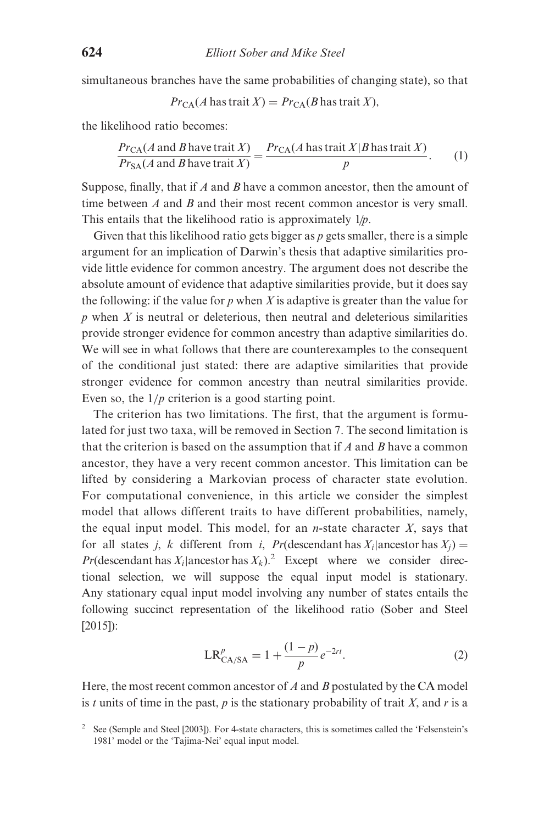<span id="page-7-0"></span>simultaneous branches have the same probabilities of changing state), so that

$$
Pr_{\text{CA}}(A \text{ has trait } X) = Pr_{\text{CA}}(B \text{ has trait } X),
$$

the likelihood ratio becomes:

$$
\frac{Pr_{\text{CA}}(A \text{ and } B \text{ have trait } X)}{Pr_{\text{SA}}(A \text{ and } B \text{ have trait } X)} = \frac{Pr_{\text{CA}}(A \text{ has trait } X|B \text{ has trait } X)}{p}.
$$
 (1)

Suppose, finally, that if  $A$  and  $B$  have a common ancestor, then the amount of time between  $A$  and  $B$  and their most recent common ancestor is very small. This entails that the likelihood ratio is approximately  $1/p$ .

Given that this likelihood ratio gets bigger as  $p$  gets smaller, there is a simple argument for an implication of Darwin's thesis that adaptive similarities provide little evidence for common ancestry. The argument does not describe the absolute amount of evidence that adaptive similarities provide, but it does say the following: if the value for p when X is adaptive is greater than the value for  $p$  when  $X$  is neutral or deleterious, then neutral and deleterious similarities provide stronger evidence for common ancestry than adaptive similarities do. We will see in what follows that there are counterexamples to the consequent of the conditional just stated: there are adaptive similarities that provide stronger evidence for common ancestry than neutral similarities provide. Even so, the  $1/p$  criterion is a good starting point.

The criterion has two limitations. The first, that the argument is formulated for just two taxa, will be removed in Section 7. The second limitation is that the criterion is based on the assumption that if  $A$  and  $B$  have a common ancestor, they have a very recent common ancestor. This limitation can be lifted by considering a Markovian process of character state evolution. For computational convenience, in this article we consider the simplest model that allows different traits to have different probabilities, namely, the equal input model. This model, for an *n*-state character  $X$ , says that for all states *j*, *k* different from *i*, *Pr*(descendant has  $X_i$ ) ancestor has  $X_i$ ) = Pr(descendant has  $X_i$  ancestor has  $X_k$ ).<sup>2</sup> Except where we consider directional selection, we will suppose the equal input model is stationary. Any stationary equal input model involving any number of states entails the following succinct representation of the likelihood ratio [\(Sober and Steel](#page-21-0) [\[2015\]](#page-21-0)):

$$
LR_{\text{CA/SA}}^{p} = 1 + \frac{(1-p)}{p} e^{-2rt}.
$$
 (2)

Here, the most recent common ancestor of  $A$  and  $B$  postulated by the CA model is t units of time in the past,  $p$  is the stationary probability of trait  $X$ , and  $r$  is a

<sup>&</sup>lt;sup>2</sup> See [\(Semple and Steel \[2003\]\)](#page-21-0). For 4-state characters, this is sometimes called the 'Felsenstein's 1981' model or the 'Tajima-Nei' equal input model.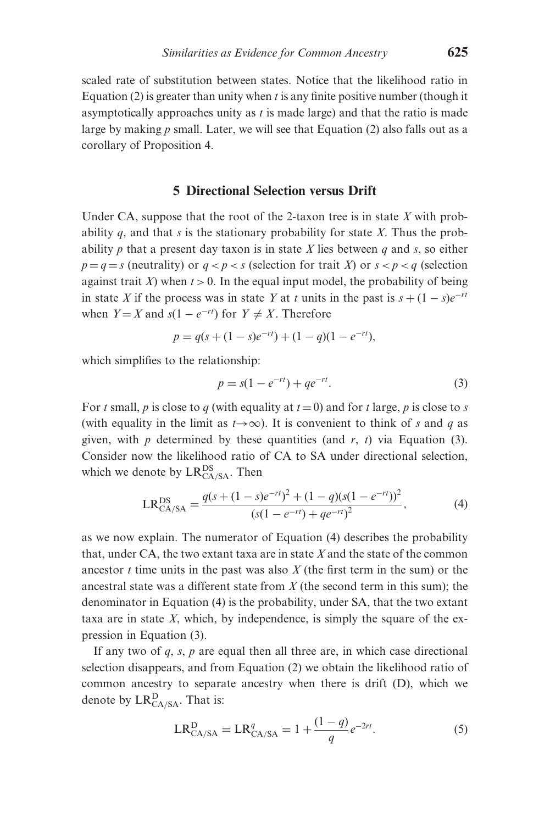<span id="page-8-0"></span>scaled rate of substitution between states. Notice that the likelihood ratio in [Equation \(2\)](#page-7-0) is greater than unity when t is any finite positive number (though it asymptotically approaches unity as  $t$  is made large) and that the ratio is made large by making  $p$  small. Later, we will see that [Equation \(2\)](#page-7-0) also falls out as a corollary of Proposition 4.

## 5 Directional Selection versus Drift

Under CA, suppose that the root of the 2-taxon tree is in state  $X$  with probability q, and that s is the stationary probability for state  $X$ . Thus the probability p that a present day taxon is in state X lies between  $q$  and  $s$ , so either  $p = q = s$  (neutrality) or  $q < p < s$  (selection for trait X) or  $s < p < q$  (selection against trait X) when  $t > 0$ . In the equal input model, the probability of being in state X if the process was in state Y at t units in the past is  $s + (1 - s)e^{-rt}$ when  $Y = X$  and  $s(1 - e^{-rt})$  for  $Y \neq X$ . Therefore

$$
p = q(s + (1 - s)e^{-rt}) + (1 - q)(1 - e^{-rt}),
$$

which simplifies to the relationship:

$$
p = s(1 - e^{-rt}) + qe^{-rt}.
$$
 (3)

For t small, p is close to q (with equality at  $t = 0$ ) and for t large, p is close to s (with equality in the limit as  $t \rightarrow \infty$ ). It is convenient to think of s and q as given, with  $p$  determined by these quantities (and  $r$ ,  $t$ ) via Equation (3). Consider now the likelihood ratio of CA to SA under directional selection, which we denote by  $LR_{\text{CA/SA}}^{\text{DS}}$ . Then

$$
LR_{CA/SA}^{DS} = \frac{q(s + (1 - s)e^{-rt})^2 + (1 - q)(s(1 - e^{-rt}))^2}{(s(1 - e^{-rt}) + qe^{-rt})^2},
$$
(4)

as we now explain. The numerator of Equation (4) describes the probability that, under CA, the two extant taxa are in state  $X$  and the state of the common ancestor  $t$  time units in the past was also  $X$  (the first term in the sum) or the ancestral state was a different state from  $X$  (the second term in this sum); the denominator in Equation (4) is the probability, under SA, that the two extant taxa are in state  $X$ , which, by independence, is simply the square of the expression in Equation (3).

If any two of  $q$ ,  $s$ ,  $p$  are equal then all three are, in which case directional selection disappears, and from [Equation \(2\)](#page-7-0) we obtain the likelihood ratio of common ancestry to separate ancestry when there is drift (D), which we denote by  $LR_{CA/SA}^D$ . That is:

$$
LR_{\text{CA/SA}}^{\text{D}} = LR_{\text{CA/SA}}^{q} = 1 + \frac{(1-q)}{q} e^{-2rt}.
$$
 (5)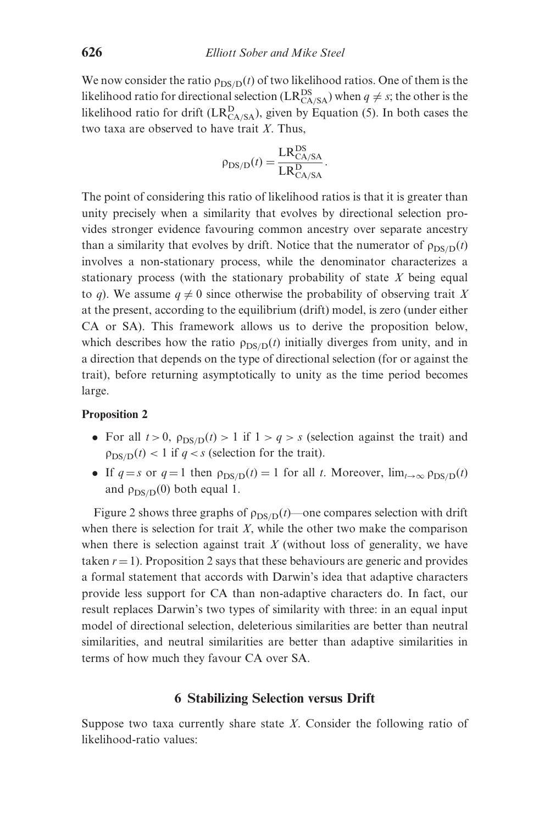We now consider the ratio  $\rho_{DS/D}(t)$  of two likelihood ratios. One of them is the likelihood ratio for directional selection (LR<sup>DS</sup><sub>CA/SA</sub>) when  $q \neq s$ ; the other is the likelihood ratio for drift ( $LR_{CA/SA}^D$ ), given by [Equation \(5\)](#page-8-0). In both cases the two taxa are observed to have trait  $X$ . Thus,

$$
\rho_{DS/D}(t) = \frac{LR_{CA/SA}^{DS}}{LR_{CA/SA}^{D}}.
$$

The point of considering this ratio of likelihood ratios is that it is greater than unity precisely when a similarity that evolves by directional selection provides stronger evidence favouring common ancestry over separate ancestry than a similarity that evolves by drift. Notice that the numerator of  $\rho_{DS/D}(t)$ involves a non-stationary process, while the denominator characterizes a stationary process (with the stationary probability of state  $X$  being equal to q). We assume  $q \neq 0$  since otherwise the probability of observing trait X at the present, according to the equilibrium (drift) model, is zero (under either CA or SA). This framework allows us to derive the proposition below, which describes how the ratio  $\rho_{DS/D}(t)$  initially diverges from unity, and in a direction that depends on the type of directional selection (for or against the trait), before returning asymptotically to unity as the time period becomes large.

#### Proposition 2

- For all  $t > 0$ ,  $\rho_{DS/D}(t) > 1$  if  $1 > q > s$  (selection against the trait) and  $\rho_{DS/D}(t)$  < 1 if  $q < s$  (selection for the trait).
- If  $q = s$  or  $q = 1$  then  $\rho_{DS/D}(t) = 1$  for all t. Moreover,  $\lim_{t\to\infty} \rho_{DS/D}(t)$ and  $\rho_{DS/D}(0)$  both equal 1.

[Figure 2](#page-10-0) shows three graphs of  $\rho_{DS/D}(t)$ —one compares selection with drift when there is selection for trait  $X$ , while the other two make the comparison when there is selection against trait  $X$  (without loss of generality, we have taken  $r = 1$ ). Proposition 2 says that these behaviours are generic and provides a formal statement that accords with Darwin's idea that adaptive characters provide less support for CA than non-adaptive characters do. In fact, our result replaces Darwin's two types of similarity with three: in an equal input model of directional selection, deleterious similarities are better than neutral similarities, and neutral similarities are better than adaptive similarities in terms of how much they favour CA over SA.

## 6 Stabilizing Selection versus Drift

Suppose two taxa currently share state  $X$ . Consider the following ratio of likelihood-ratio values: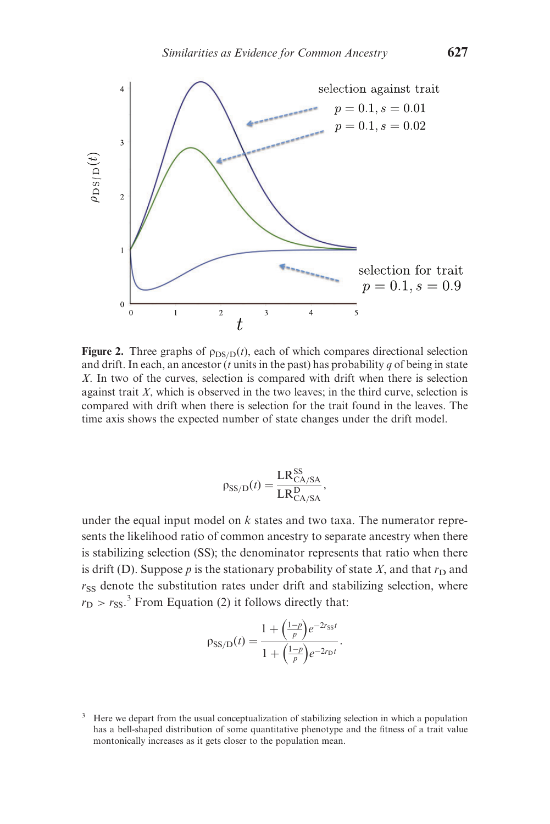<span id="page-10-0"></span>

Figure 2. Three graphs of  $\rho_{DS/D}(t)$ , each of which compares directional selection and drift. In each, an ancestor  $(t$  units in the past) has probability q of being in state X. In two of the curves, selection is compared with drift when there is selection against trait  $X$ , which is observed in the two leaves; in the third curve, selection is compared with drift when there is selection for the trait found in the leaves. The time axis shows the expected number of state changes under the drift model.

$$
\rho_{\text{SS/D}}(t) = \frac{\text{LR}_{\text{CA/SA}}^{\text{SS}}}{\text{LR}_{\text{CA/SA}}^{\text{D}}},
$$

under the equal input model on  $k$  states and two taxa. The numerator represents the likelihood ratio of common ancestry to separate ancestry when there is stabilizing selection (SS); the denominator represents that ratio when there is drift (D). Suppose p is the stationary probability of state X, and that  $r<sub>D</sub>$  and  $r_{SS}$  denote the substitution rates under drift and stabilizing selection, where  $r_D > r_{SS}$ .<sup>3</sup> From [Equation \(2\)](#page-7-0) it follows directly that:

$$
\rho_{\rm SS/D}(t) = \frac{1 + \left(\frac{1-p}{p}\right)e^{-2r_{\rm SS}t}}{1 + \left(\frac{1-p}{p}\right)e^{-2r_{\rm D}t}}.
$$

<sup>&</sup>lt;sup>3</sup> Here we depart from the usual conceptualization of stabilizing selection in which a population has a bell-shaped distribution of some quantitative phenotype and the fitness of a trait value montonically increases as it gets closer to the population mean.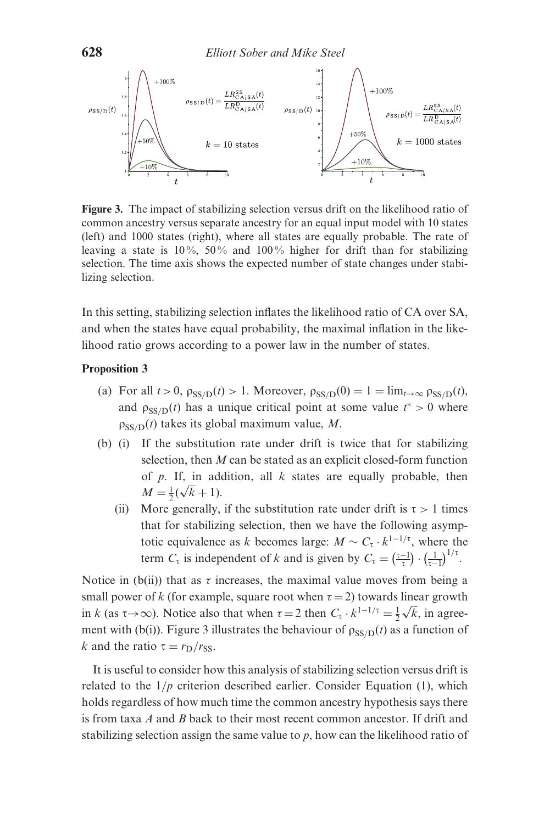<span id="page-11-0"></span>

Figure 3. The impact of stabilizing selection versus drift on the likelihood ratio of common ancestry versus separate ancestry for an equal input model with 10 states (left) and 1000 states (right), where all states are equally probable. The rate of leaving a state is 10 %, 50 % and 100 % higher for drift than for stabilizing selection. The time axis shows the expected number of state changes under stabilizing selection.

In this setting, stabilizing selection inflates the likelihood ratio of CA over SA, and when the states have equal probability, the maximal inflation in the likelihood ratio grows according to a power law in the number of states.

#### Proposition 3

- (a) For all  $t > 0$ ,  $\rho_{SS/D}(t) > 1$ . Moreover,  $\rho_{SS/D}(0) = 1 = \lim_{t \to \infty} \rho_{SS/D}(t)$ , and  $\rho_{SS/D}(t)$  has a unique critical point at some value  $t^* > 0$  where  $\rho_{SS/D}(t)$  takes its global maximum value, M.
- (b) (i) If the substitution rate under drift is twice that for stabilizing selection, then  $M$  can be stated as an explicit closed-form function of  $p$ . If, in addition, all  $k$  states are equally probable, then  $M = \frac{1}{2}(\sqrt{k} + 1).$ 
	- (ii) More generally, if the substitution rate under drift is  $\tau > 1$  times that for stabilizing selection, then we have the following asymptotic equivalence as k becomes large:  $M \sim C_{\tau} \cdot k^{1-1/\tau}$ , where the term  $C_{\tau}$  is independent of k and is given by  $C_{\tau} = \left(\frac{\tau-1}{\tau}\right) \cdot \left(\frac{1}{\tau-1}\right)$  $\left(\frac{1}{\tau-1}\right)^{1/\tau}$ .

Notice in (b(ii)) that as  $\tau$  increases, the maximal value moves from being a small power of k (for example, square root when  $\tau = 2$ ) towards linear growth in k (as  $\tau \rightarrow \infty$ ). Notice also that when  $\tau = 2$  then  $C_{\tau} \cdot k^{1-1/\tau} = \frac{1}{2}$  $\sqrt{k}$ , in agreement with (b(i)). Figure 3 illustrates the behaviour of  $\rho_{SS/D}(t)$  as a function of k and the ratio  $\tau = r_D/r_{SS}$ .

It is useful to consider how this analysis of stabilizing selection versus drift is related to the  $1/p$  criterion described earlier. Consider [Equation \(1\)](#page-7-0), which holds regardless of how much time the common ancestry hypothesis says there is from taxa  $\vec{A}$  and  $\vec{B}$  back to their most recent common ancestor. If drift and stabilizing selection assign the same value to  $p$ , how can the likelihood ratio of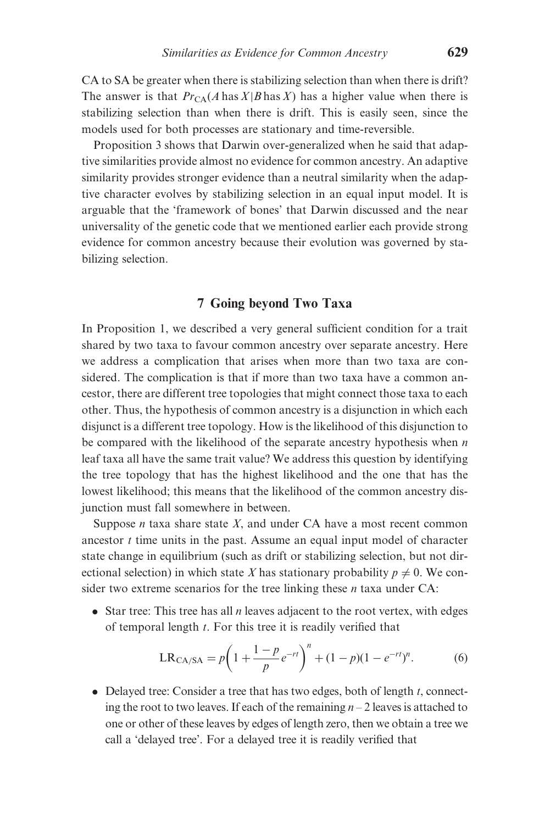<span id="page-12-0"></span>CA to SA be greater when there is stabilizing selection than when there is drift? The answer is that  $Pr_{CA}(A \text{ has } X \mid B \text{ has } X)$  has a higher value when there is stabilizing selection than when there is drift. This is easily seen, since the models used for both processes are stationary and time-reversible.

Proposition 3 shows that Darwin over-generalized when he said that adaptive similarities provide almost no evidence for common ancestry. An adaptive similarity provides stronger evidence than a neutral similarity when the adaptive character evolves by stabilizing selection in an equal input model. It is arguable that the 'framework of bones' that Darwin discussed and the near universality of the genetic code that we mentioned earlier each provide strong evidence for common ancestry because their evolution was governed by stabilizing selection.

## 7 Going beyond Two Taxa

In Proposition 1, we described a very general sufficient condition for a trait shared by two taxa to favour common ancestry over separate ancestry. Here we address a complication that arises when more than two taxa are considered. The complication is that if more than two taxa have a common ancestor, there are different tree topologies that might connect those taxa to each other. Thus, the hypothesis of common ancestry is a disjunction in which each disjunct is a different tree topology. How is the likelihood of this disjunction to be compared with the likelihood of the separate ancestry hypothesis when  $n$ leaf taxa all have the same trait value? We address this question by identifying the tree topology that has the highest likelihood and the one that has the lowest likelihood; this means that the likelihood of the common ancestry disjunction must fall somewhere in between.

Suppose *n* taxa share state  $X$ , and under CA have a most recent common ancestor t time units in the past. Assume an equal input model of character state change in equilibrium (such as drift or stabilizing selection, but not directional selection) in which state X has stationary probability  $p \neq 0$ . We consider two extreme scenarios for the tree linking these  $n$  taxa under CA:

 $\bullet$  Star tree: This tree has all *n* leaves adjacent to the root vertex, with edges of temporal length  $t$ . For this tree it is readily verified that

$$
LR_{\text{CA/SA}} = p \left( 1 + \frac{1 - p}{p} e^{-rt} \right)^n + (1 - p)(1 - e^{-rt})^n. \tag{6}
$$

 $\bullet$  Delayed tree: Consider a tree that has two edges, both of length  $t$ , connecting the root to two leaves. If each of the remaining  $n-2$  leaves is attached to one or other of these leaves by edges of length zero, then we obtain a tree we call a 'delayed tree'. For a delayed tree it is readily verified that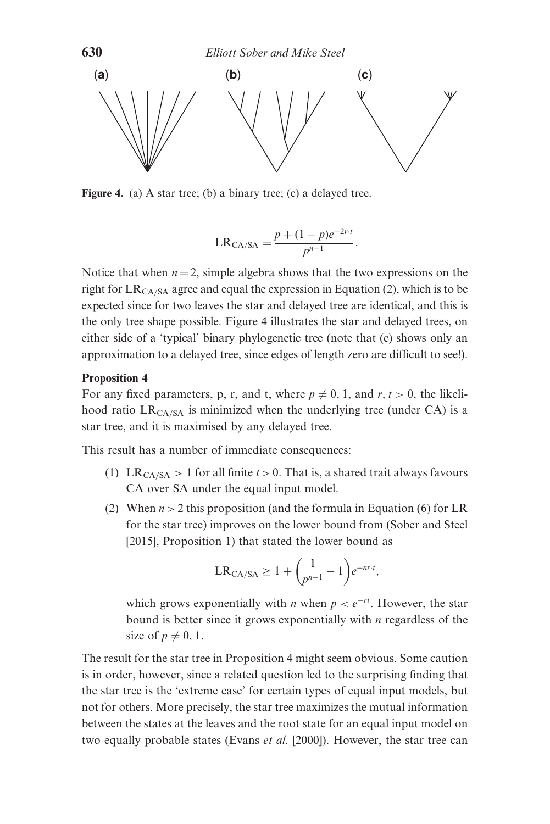Figure 4. (a) A star tree; (b) a binary tree; (c) a delayed tree.

$$
LR_{\text{CA/SA}} = \frac{p + (1 - p)e^{-2r \cdot t}}{p^{n-1}}.
$$

Notice that when  $n = 2$ , simple algebra shows that the two expressions on the right for  $LR<sub>CA/SA</sub>$  agree and equal the expression in [Equation \(2\),](#page-7-0) which is to be expected since for two leaves the star and delayed tree are identical, and this is the only tree shape possible. Figure 4 illustrates the star and delayed trees, on either side of a 'typical' binary phylogenetic tree (note that (c) shows only an approximation to a delayed tree, since edges of length zero are difficult to see!).

## Proposition 4

For any fixed parameters, p, r, and t, where  $p \neq 0, 1$ , and  $r, t > 0$ , the likelihood ratio  $LR_{CA/SA}$  is minimized when the underlying tree (under CA) is a star tree, and it is maximised by any delayed tree.

This result has a number of immediate consequences:

- (1) LR<sub>CA/SA</sub> > 1 for all finite  $t > 0$ . That is, a shared trait always favours CA over SA under the equal input model.
- (2) When  $n > 2$  this proposition (and the formula in [Equation \(6\)](#page-12-0) for LR for the star tree) improves on the lower bound from [\(Sober and Steel](#page-21-0) [\[2015\],](#page-21-0) Proposition 1) that stated the lower bound as

$$
LR_{\text{CA/SA}} \ge 1 + \left(\frac{1}{p^{n-1}} - 1\right) e^{-m \cdot t},
$$

which grows exponentially with *n* when  $p < e^{-rt}$ . However, the star bound is better since it grows exponentially with  $n$  regardless of the size of  $p \neq 0, 1$ .

The result for the star tree in Proposition 4 might seem obvious. Some caution is in order, however, since a related question led to the surprising finding that the star tree is the 'extreme case' for certain types of equal input models, but not for others. More precisely, the star tree maximizes the mutual information between the states at the leaves and the root state for an equal input model on two equally probable states [\(Evans](#page-20-0) et al. [2000]). However, the star tree can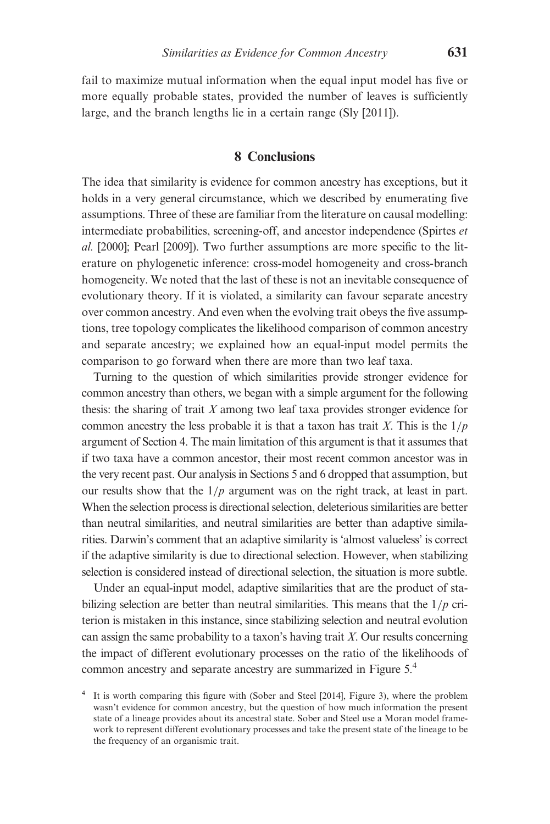fail to maximize mutual information when the equal input model has five or more equally probable states, provided the number of leaves is sufficiently large, and the branch lengths lie in a certain range [\(Sly \[2011\]\)](#page-21-0).

# 8 Conclusions

The idea that similarity is evidence for common ancestry has exceptions, but it holds in a very general circumstance, which we described by enumerating five assumptions. Three of these are familiar from the literature on causal modelling: intermediate probabilities, screening-off, and ancestor independence [\(Spirtes](#page-21-0) et al. [\[2000\]; Pearl \[2009\]\)](#page-21-0). Two further assumptions are more specific to the literature on phylogenetic inference: cross-model homogeneity and cross-branch homogeneity. We noted that the last of these is not an inevitable consequence of evolutionary theory. If it is violated, a similarity can favour separate ancestry over common ancestry. And even when the evolving trait obeys the five assumptions, tree topology complicates the likelihood comparison of common ancestry and separate ancestry; we explained how an equal-input model permits the comparison to go forward when there are more than two leaf taxa.

Turning to the question of which similarities provide stronger evidence for common ancestry than others, we began with a simple argument for the following thesis: the sharing of trait  $X$  among two leaf taxa provides stronger evidence for common ancestry the less probable it is that a taxon has trait X. This is the  $1/p$ argument of Section 4. The main limitation of this argument is that it assumes that if two taxa have a common ancestor, their most recent common ancestor was in the very recent past. Our analysis in Sections 5 and 6 dropped that assumption, but our results show that the  $1/p$  argument was on the right track, at least in part. When the selection process is directional selection, deleterious similarities are better than neutral similarities, and neutral similarities are better than adaptive similarities. Darwin's comment that an adaptive similarity is 'almost valueless' is correct if the adaptive similarity is due to directional selection. However, when stabilizing selection is considered instead of directional selection, the situation is more subtle.

Under an equal-input model, adaptive similarities that are the product of stabilizing selection are better than neutral similarities. This means that the  $1/p$  criterion is mistaken in this instance, since stabilizing selection and neutral evolution can assign the same probability to a taxon's having trait X. Our results concerning the impact of different evolutionary processes on the ratio of the likelihoods of common ancestry and separate ancestry are summarized in [Figure 5.](#page-15-0)4

<sup>4</sup> It is worth comparing this figure with ([Sober and Steel \[2014\]](#page-21-0), [Figure 3\)](#page-11-0), where the problem wasn't evidence for common ancestry, but the question of how much information the present state of a lineage provides about its ancestral state. Sober and Steel use a Moran model framework to represent different evolutionary processes and take the present state of the lineage to be the frequency of an organismic trait.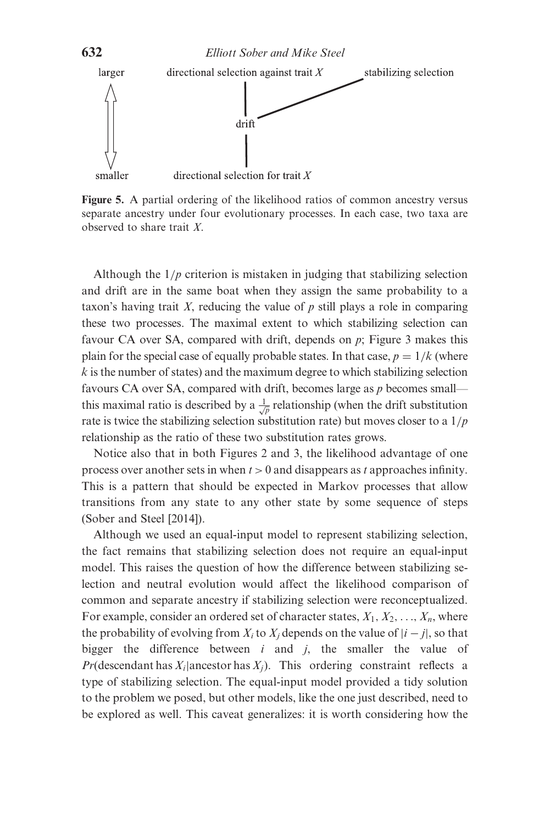<span id="page-15-0"></span>

Figure 5. A partial ordering of the likelihood ratios of common ancestry versus separate ancestry under four evolutionary processes. In each case, two taxa are observed to share trait X.

Although the  $1/p$  criterion is mistaken in judging that stabilizing selection and drift are in the same boat when they assign the same probability to a taxon's having trait  $X$ , reducing the value of  $p$  still plays a role in comparing these two processes. The maximal extent to which stabilizing selection can favour CA over SA, compared with drift, depends on  $p$ ; [Figure 3](#page-11-0) makes this plain for the special case of equally probable states. In that case,  $p = 1/k$  (where  $k$  is the number of states) and the maximum degree to which stabilizing selection favours CA over SA, compared with drift, becomes large as  $p$  becomes small this maximal ratio is described by a  $\frac{1}{\sqrt{p}}$  relationship (when the drift substitution rate is twice the stabilizing selection substitution rate) but moves closer to a  $1/p$ relationship as the ratio of these two substitution rates grows.

Notice also that in both [Figures 2](#page-10-0) and [3](#page-11-0), the likelihood advantage of one process over another sets in when  $t > 0$  and disappears as t approaches infinity. This is a pattern that should be expected in Markov processes that allow transitions from any state to any other state by some sequence of steps ([Sober and Steel \[2014\]](#page-21-0)).

Although we used an equal-input model to represent stabilizing selection, the fact remains that stabilizing selection does not require an equal-input model. This raises the question of how the difference between stabilizing selection and neutral evolution would affect the likelihood comparison of common and separate ancestry if stabilizing selection were reconceptualized. For example, consider an ordered set of character states,  $X_1, X_2, \ldots, X_n$ , where the probability of evolving from  $X_i$  to  $X_j$  depends on the value of  $|i - j|$ , so that bigger the difference between  $i$  and  $j$ , the smaller the value of Pr(descendant has  $X_i$  ancestor has  $X_i$ ). This ordering constraint reflects a type of stabilizing selection. The equal-input model provided a tidy solution to the problem we posed, but other models, like the one just described, need to be explored as well. This caveat generalizes: it is worth considering how the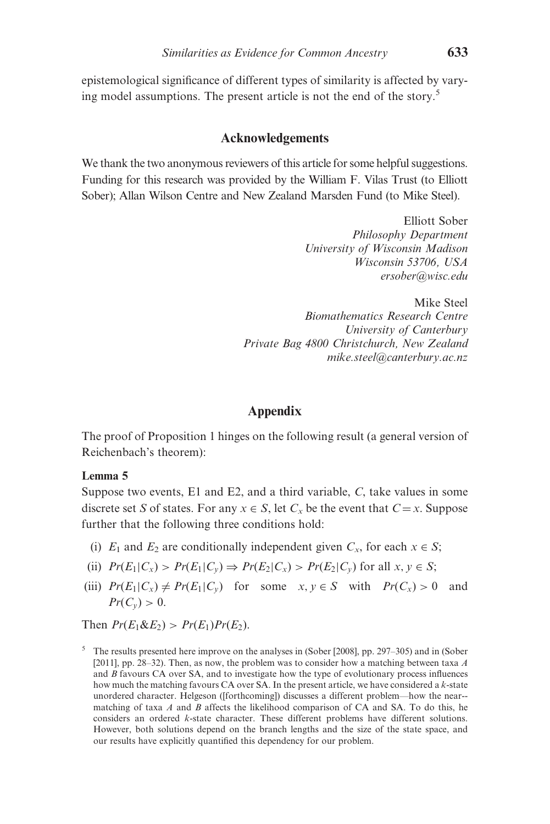epistemological significance of different types of similarity is affected by varying model assumptions. The present article is not the end of the story.<sup>5</sup>

#### Acknowledgements

We thank the two anonymous reviewers of this article for some helpful suggestions. Funding for this research was provided by the William F. Vilas Trust (to Elliott Sober); Allan Wilson Centre and New Zealand Marsden Fund (to Mike Steel).

> Elliott Sober Philosophy Department University of Wisconsin Madison Wisconsin 53706, USA ersober@wisc.edu

Mike Steel Biomathematics Research Centre University of Canterbury Private Bag 4800 Christchurch, New Zealand mike.steel@canterbury.ac.nz

## Appendix

The proof of Proposition 1 hinges on the following result (a general version of Reichenbach's theorem):

#### Lemma 5

Suppose two events,  $E1$  and  $E2$ , and a third variable,  $C$ , take values in some discrete set S of states. For any  $x \in S$ , let  $C_x$  be the event that  $C = x$ . Suppose further that the following three conditions hold:

- (i)  $E_1$  and  $E_2$  are conditionally independent given  $C_x$ , for each  $x \in S$ ;
- (ii)  $Pr(E_1|C_x) > Pr(E_1|C_y) \Rightarrow Pr(E_2|C_x) > Pr(E_2|C_y)$  for all  $x, y \in S$ ;
- (iii)  $Pr(E_1|C_x) \neq Pr(E_1|C_v)$  for some  $x, y \in S$  with  $Pr(C_x) > 0$  and  $Pr(C_v) > 0$ .

Then  $Pr(E_1 \& E_2) > Pr(E_1)Pr(E_2)$ .

<sup>5</sup> The results presented here improve on the analyses in ([Sober \[2008\]](#page-21-0), pp. 297–305) and in [\(Sober](#page-21-0) [\[2011\]](#page-21-0), pp. 28–32). Then, as now, the problem was to consider how a matching between taxa  $\vec{A}$ and B favours CA over SA, and to investigate how the type of evolutionary process influences how much the matching favours CA over SA. In the present article, we have considered a k-state unordered character. Helgeson [\(\[forthcoming\]\)](#page-21-0) discusses a different problem—how the near- matching of taxa  $A$  and  $B$  affects the likelihood comparison of CA and SA. To do this, he considers an ordered k-state character. These different problems have different solutions. However, both solutions depend on the branch lengths and the size of the state space, and our results have explicitly quantified this dependency for our problem.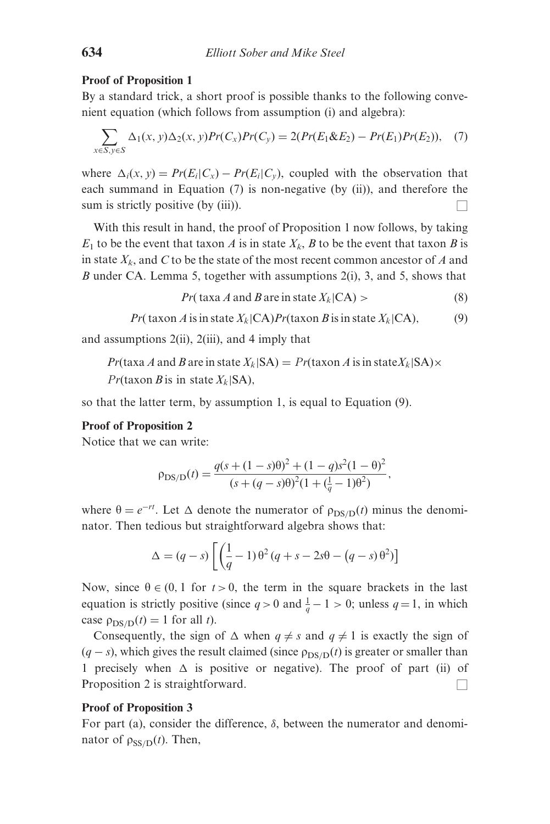#### Proof of Proposition 1

By a standard trick, a short proof is possible thanks to the following convenient equation (which follows from assumption (i) and algebra):

$$
\sum_{x \in S, y \in S} \Delta_1(x, y) \Delta_2(x, y) Pr(C_x) Pr(C_y) = 2(Pr(E_1 \& E_2) - Pr(E_1) Pr(E_2)), \quad (7)
$$

where  $\Delta_i(x, y) = Pr(E_i|C_x) - Pr(E_i|C_y)$ , coupled with the observation that each summand in Equation (7) is non-negative (by (ii)), and therefore the sum is strictly positive (by (iii)).

With this result in hand, the proof of Proposition 1 now follows, by taking  $E_1$  to be the event that taxon A is in state  $X_k$ , B to be the event that taxon B is in state  $X_k$ , and C to be the state of the most recent common ancestor of A and B under CA. Lemma 5, together with assumptions 2(i), 3, and 5, shows that

$$
Pr(\text{taxa } A \text{ and } B \text{ are in state } X_k | CA) > \tag{8}
$$

Pr(taxon A is in state  $X_k|CA)Pr(\text{taxon } B \text{ is in state } X_k|CA)$ , (9)

and assumptions  $2(ii)$ ,  $2(iii)$ , and  $4$  imply that

$$
Pr(\text{taxa } A \text{ and } B \text{ are in state } X_k | SA) = Pr(\text{taxon } A \text{ is in state } X_k | SA) \times
$$
  

$$
Pr(\text{taxon } B \text{ is in state } X_k | SA),
$$

so that the latter term, by assumption 1, is equal to Equation (9).

#### Proof of Proposition 2

Notice that we can write:

$$
\rho_{\rm DS/D}(t) = \frac{q(s + (1 - s)\theta)^2 + (1 - q)s^2(1 - \theta)^2}{(s + (q - s)\theta)^2(1 + (\frac{1}{q} - 1)\theta^2)},
$$

where  $\theta = e^{-rt}$ . Let  $\Delta$  denote the numerator of  $\rho_{DS/D}(t)$  minus the denominator. Then tedious but straightforward algebra shows that:

$$
\Delta = (q - s) \left[ \left( \frac{1}{q} - 1 \right) \theta^2 (q + s - 2s\theta - (q - s) \theta^2) \right]
$$

Now, since  $\theta \in (0, 1 \text{ for } t > 0$ , the term in the square brackets in the last equation is strictly positive (since  $q > 0$  and  $\frac{1}{q} - 1 > 0$ ; unless  $q = 1$ , in which case  $\rho_{DS/D}(t) = 1$  for all t).

Consequently, the sign of  $\Delta$  when  $q \neq s$  and  $q \neq 1$  is exactly the sign of  $(q - s)$ , which gives the result claimed (since  $\rho_{DS/D}(t)$  is greater or smaller than 1 precisely when  $\Delta$  is positive or negative). The proof of part (ii) of Proposition 2 is straightforward.

#### Proof of Proposition 3

For part (a), consider the difference,  $\delta$ , between the numerator and denominator of  $\rho_{SS/D}(t)$ . Then,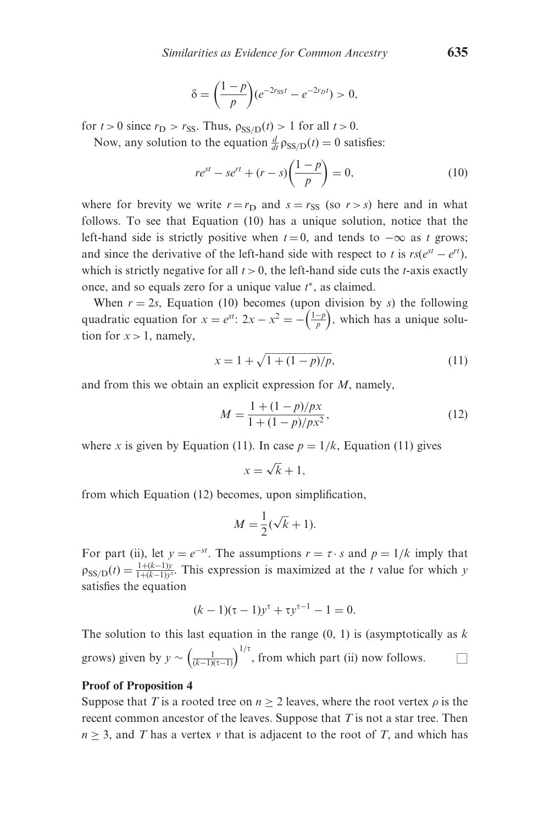$$
\delta = \left(\frac{1-p}{p}\right)(e^{-2rsst} - e^{-2r_Dt}) > 0,
$$

for  $t > 0$  since  $r_D > r_{SS}$ . Thus,  $\rho_{SS/D}(t) > 1$  for all  $t > 0$ .

Now, any solution to the equation  $\frac{d}{dt} \rho_{SS/D}(t) = 0$  satisfies:

$$
re^{st} - se^{rt} + (r - s) \left(\frac{1 - p}{p}\right) = 0,
$$
\n(10)

where for brevity we write  $r = r<sub>D</sub>$  and  $s = r<sub>SS</sub>$  (so  $r > s$ ) here and in what follows. To see that Equation (10) has a unique solution, notice that the left-hand side is strictly positive when  $t = 0$ , and tends to  $-\infty$  as t grows; and since the derivative of the left-hand side with respect to t is  $rs(e^{st} - e^{rt})$ , which is strictly negative for all  $t > 0$ , the left-hand side cuts the *t*-axis exactly once, and so equals zero for a unique value  $t^*$ , as claimed.

When  $r = 2s$ , Equation (10) becomes (upon division by s) the following quadratic equation for  $x = e^{st}$ :  $2x - x^2 = -\left(\frac{1-p}{p}\right)$  $\left(\frac{1-p}{p}\right)$ , which has a unique solution for  $x > 1$ , namely,

$$
x = 1 + \sqrt{1 + (1 - p)/p},\tag{11}
$$

and from this we obtain an explicit expression for M, namely,

$$
M = \frac{1 + (1 - p)/px}{1 + (1 - p)/px^2},\tag{12}
$$

where x is given by Equation (11). In case  $p = 1/k$ , Equation (11) gives

$$
x = \sqrt{k} + 1,
$$

from which Equation (12) becomes, upon simplification,

$$
M = \frac{1}{2}(\sqrt{k} + 1).
$$

For part (ii), let  $y = e^{-st}$ . The assumptions  $r = \tau \cdot s$  and  $p = 1/k$  imply that  $\rho_{SS/D}(t) = \frac{1 + (k-1)y}{1 + (k-1)y}$ . This expression is maximized at the t value for which y satisfies the equation

$$
(k-1)(\tau-1)y^{\tau} + \tau y^{\tau-1} - 1 = 0.
$$

The solution to this last equation in the range  $(0, 1)$  is (asymptotically as k grows) given by  $y \sim \left(\frac{1}{(k-1)(\tau-1)}\right)$  $\sqrt{1/\tau}$ , from which part (ii) now follows.  $\Box$ 

#### Proof of Proposition 4

Suppose that T is a rooted tree on  $n \geq 2$  leaves, where the root vertex  $\rho$  is the recent common ancestor of the leaves. Suppose that  $T$  is not a star tree. Then  $n \geq 3$ , and T has a vertex v that is adjacent to the root of T, and which has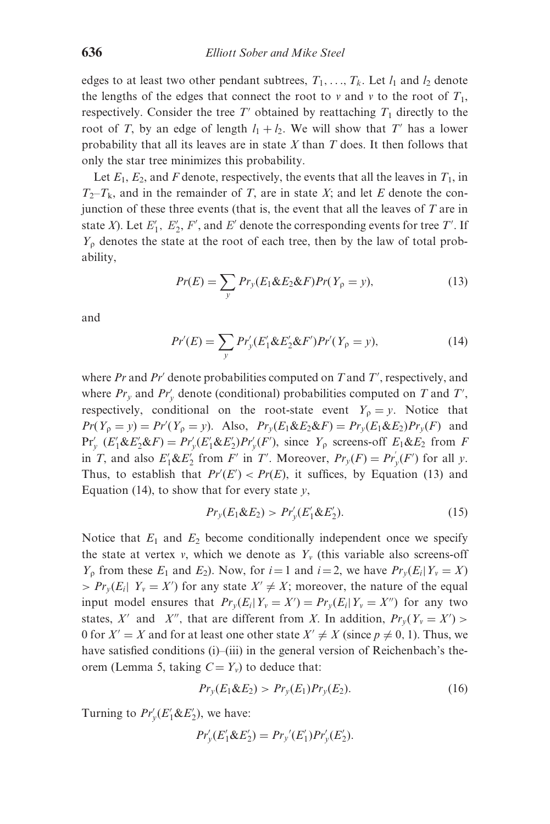<span id="page-19-0"></span>edges to at least two other pendant subtrees,  $T_1, \ldots, T_k$ . Let  $l_1$  and  $l_2$  denote the lengths of the edges that connect the root to v and v to the root of  $T_1$ , respectively. Consider the tree  $T'$  obtained by reattaching  $T_1$  directly to the root of T, by an edge of length  $l_1 + l_2$ . We will show that T' has a lower probability that all its leaves are in state  $X$  than  $T$  does. It then follows that only the star tree minimizes this probability.

Let  $E_1, E_2$ , and F denote, respectively, the events that all the leaves in  $T_1$ , in  $T_2-T_k$ , and in the remainder of T, are in state X; and let E denote the conjunction of these three events (that is, the event that all the leaves of  $T$  are in state X). Let  $E'_1$ ,  $E'_2$ ,  $F'$ , and  $E'$  denote the corresponding events for tree T'. If  $Y_{\rho}$  denotes the state at the root of each tree, then by the law of total probability,

$$
Pr(E) = \sum_{y} Pr_{y}(E_{1} \& E_{2} \& F) Pr(Y_{p} = y),
$$
\n(13)

and

$$
Pr'(E) = \sum_{y} Pr'_{y}(E'_{1} \& E'_{2} \& F') Pr'(Y_{\rho} = y),
$$
\n(14)

where  $Pr$  and  $Pr'$  denote probabilities computed on  $T$  and  $T'$ , respectively, and where  $Pr_y$  and  $Pr'_y$  denote (conditional) probabilities computed on T and T', respectively, conditional on the root-state event  $Y_{\rho} = y$ . Notice that  $Pr(Y_{\rho} = y) = Pr'(Y_{\rho} = y)$ . Also,  $Pr_y(E_1 \& E_2 \& F) = Pr_y(E_1 \& E_2)Pr_y(F)$  and  $\Pr'_y(E_1' \& E_2' \& F) = \Pr'_y(E_1' \& E_2') \Pr'_y(F')$ , since  $Y_\rho$  screens-off  $E_1 \& E_2$  from F in T, and also  $E_1' \& E_2'$  from F' in T'. Moreover,  $Pr_y(F) = Pr_y'(F')$  for all y. Thus, to establish that  $Pr(E') < Pr(E)$ , it suffices, by Equation (13) and Equation (14), to show that for every state  $y$ ,

$$
Pr_{y}(E_1 \& E_2) > Pr'_{y}(E'_1 \& E'_2). \tag{15}
$$

Notice that  $E_1$  and  $E_2$  become conditionally independent once we specify the state at vertex v, which we denote as  $Y<sub>v</sub>$  (this variable also screens-off  $Y_{\rho}$  from these  $E_1$  and  $E_2$ ). Now, for  $i = 1$  and  $i = 2$ , we have  $Pr_y(E_i | Y_v = X)$  $> Pr_y(E_i | Y_v = X')$  for any state  $X' \neq X$ ; moreover, the nature of the equal input model ensures that  $Pr_y(E_i|Y_v = X') = Pr_y(E_i|Y_v = X'')$  for any two states, X' and X'', that are different from X. In addition,  $Pr_y(Y_y = X')$ 0 for  $X' = X$  and for at least one other state  $X' \neq X$  (since  $p \neq 0, 1$ ). Thus, we have satisfied conditions (i)–(iii) in the general version of Reichenbach's theorem (Lemma 5, taking  $C = Y_v$ ) to deduce that:

$$
Pr_{y}(E_1 \& E_2) > Pr_{y}(E_1)Pr_{y}(E_2). \tag{16}
$$

Turning to  $Pr'_{y}(E'_{1} \& E'_{2})$ , we have:

$$
Pr'_{y}(E'_{1} \& E'_{2}) = Pr_{y}'(E'_{1}) Pr'_{y}(E'_{2}).
$$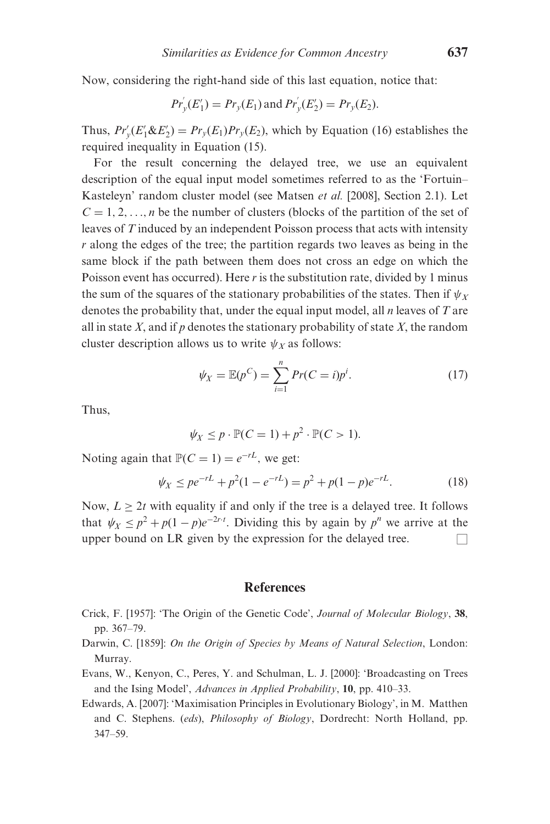<span id="page-20-0"></span>Now, considering the right-hand side of this last equation, notice that:

$$
Pr'_{y}(E'_{1}) = Pr_{y}(E_{1})
$$
 and  $Pr'_{y}(E'_{2}) = Pr_{y}(E_{2}).$ 

Thus,  $Pr'_y(E'_1 \& E'_2) = Pr_y(E_1)Pr_y(E_2)$ , which by [Equation \(16\)](#page-19-0) establishes the required inequality in [Equation \(15\)](#page-19-0).

For the result concerning the delayed tree, we use an equivalent description of the equal input model sometimes referred to as the 'Fortuin– Kasteleyn' random cluster model (see [Matsen](#page-21-0) et al. [2008], Section 2.1). Let  $C = 1, 2, \ldots, n$  be the number of clusters (blocks of the partition of the set of leaves of T induced by an independent Poisson process that acts with intensity r along the edges of the tree; the partition regards two leaves as being in the same block if the path between them does not cross an edge on which the Poisson event has occurred). Here  $r$  is the substitution rate, divided by 1 minus the sum of the squares of the stationary probabilities of the states. Then if  $\psi_X$ denotes the probability that, under the equal input model, all  $n$  leaves of  $T$  are all in state X, and if p denotes the stationary probability of state X, the random cluster description allows us to write  $\psi_X$  as follows:

$$
\psi_X = \mathbb{E}(p^C) = \sum_{i=1}^n Pr(C = i)p^i.
$$
 (17)

Thus,

$$
\psi_X \le p \cdot \mathbb{P}(C=1) + p^2 \cdot \mathbb{P}(C>1).
$$

Noting again that  $\mathbb{P}(C = 1) = e^{-rL}$ , we get:

$$
\psi_X \le p e^{-rL} + p^2 (1 - e^{-rL}) = p^2 + p(1 - p)e^{-rL}.
$$
 (18)

Now,  $L \geq 2t$  with equality if and only if the tree is a delayed tree. It follows that  $\psi_X \leq p^2 + p(1-p)e^{-2r \cdot t}$ . Dividing this by again by  $p^n$  we arrive at the upper bound on LR given by the expression for the delayed tree.

#### **References**

- Crick, F. [1957]: 'The Origin of the Genetic Code', Journal of Molecular Biology, 38, pp. 367–79.
- Darwin, C. [1859]: On the Origin of Species by Means of Natural Selection, London: Murray.
- Evans, W., Kenyon, C., Peres, Y. and Schulman, L. J. [2000]: 'Broadcasting on Trees and the Ising Model', Advances in Applied Probability, 10, pp. 410–33.
- Edwards, A. [2007]: 'Maximisation Principles in Evolutionary Biology', in M. Matthen and C. Stephens. (eds), Philosophy of Biology, Dordrecht: North Holland, pp. 347–59.